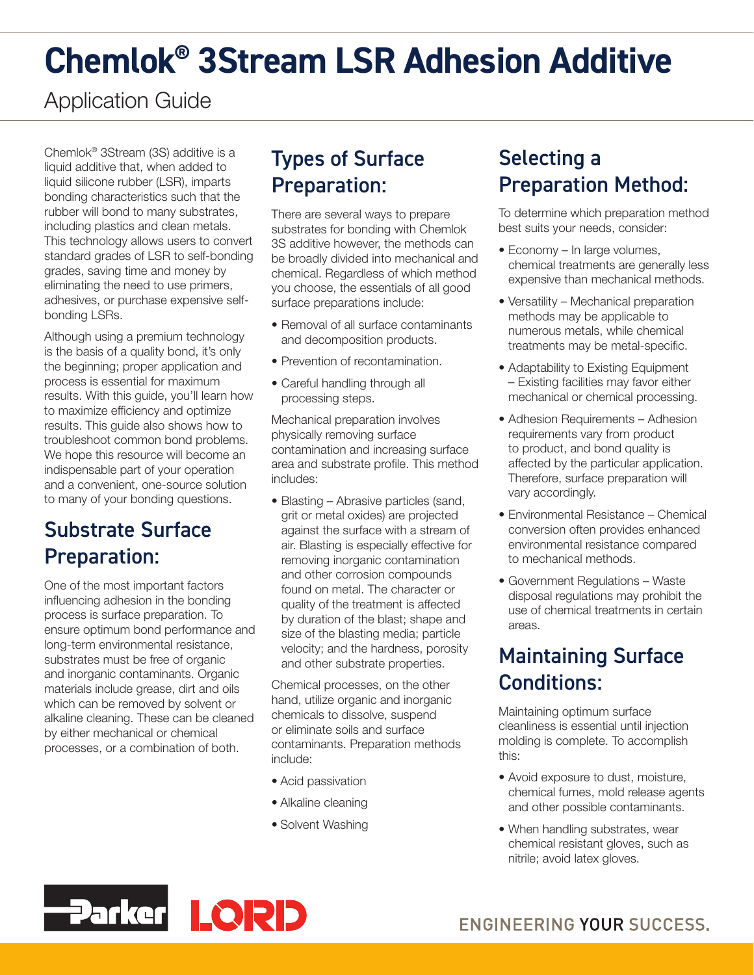# **Chemlok® 3Stream LSR Adhesion Additive**

# Application Guide

Chemlok® 3Stream (3S) additive is a liquid additive that, when added to liquid silicone rubber (LSR), imparts bonding characteristics such that the rubber will bond to many substrates, including plastics and clean metals. This technology allows users to convert standard grades of LSR to self-bonding grades, saving time and money by eliminating the need to use primers, adhesives, or purchase expensive selfbonding LSRs.

Although using a premium technology is the basis of a quality bond, it's only the beginning; proper application and process is essential for maximum results. With this guide, you'll learn how to maximize efficiency and optimize results. This guide also shows how to troubleshoot common bond problems. We hope this resource will become an indispensable part of your operation and a convenient, one-source solution to many of your bonding questions.

### Substrate Surface Preparation:

One of the most important factors influencing adhesion in the bonding process is surface preparation. To ensure optimum bond performance and long-term environmental resistance, substrates must be free of organic and inorganic contaminants. Organic materials include grease, dirt and oils which can be removed by solvent or alkaline cleaning. These can be cleaned by either mechanical or chemical processes, or a combination of both.

# Types of Surface Preparation:

There are several ways to prepare substrates for bonding with Chemlok 3S additive however, the methods can be broadly divided into mechanical and chemical. Regardless of which method you choose, the essentials of all good surface preparations include:

- Removal of all surface contaminants and decomposition products.
- Prevention of recontamination.
- Careful handling through all processing steps.

Mechanical preparation involves physically removing surface contamination and increasing surface area and substrate profile. This method includes:

• Blasting – Abrasive particles (sand, grit or metal oxides) are projected against the surface with a stream of air. Blasting is especially effective for removing inorganic contamination and other corrosion compounds found on metal. The character or quality of the treatment is affected by duration of the blast; shape and size of the blasting media; particle velocity; and the hardness, porosity and other substrate properties.

Chemical processes, on the other hand, utilize organic and inorganic chemicals to dissolve, suspend or eliminate soils and surface contaminants. Preparation methods include:

- Acid passivation
- Alkaline cleaning
- Solvent Washing

## Selecting a Preparation Method:

To determine which preparation method best suits your needs, consider:

- Economy In large volumes, chemical treatments are generally less expensive than mechanical methods.
- Versatility Mechanical preparation methods may be applicable to numerous metals, while chemical treatments may be metal-specific.
- Adaptability to Existing Equipment – Existing facilities may favor either mechanical or chemical processing.
- Adhesion Requirements Adhesion requirements vary from product to product, and bond quality is affected by the particular application. Therefore, surface preparation will vary accordingly.
- Environmental Resistance Chemical conversion often provides enhanced environmental resistance compared to mechanical methods.
- Government Regulations Waste disposal regulations may prohibit the use of chemical treatments in certain areas.

## Maintaining Surface Conditions:

Maintaining optimum surface cleanliness is essential until injection molding is complete. To accomplish this:

- Avoid exposure to dust, moisture, chemical fumes, mold release agents and other possible contaminants.
- When handling substrates, wear chemical resistant gloves, such as nitrile; avoid latex gloves.

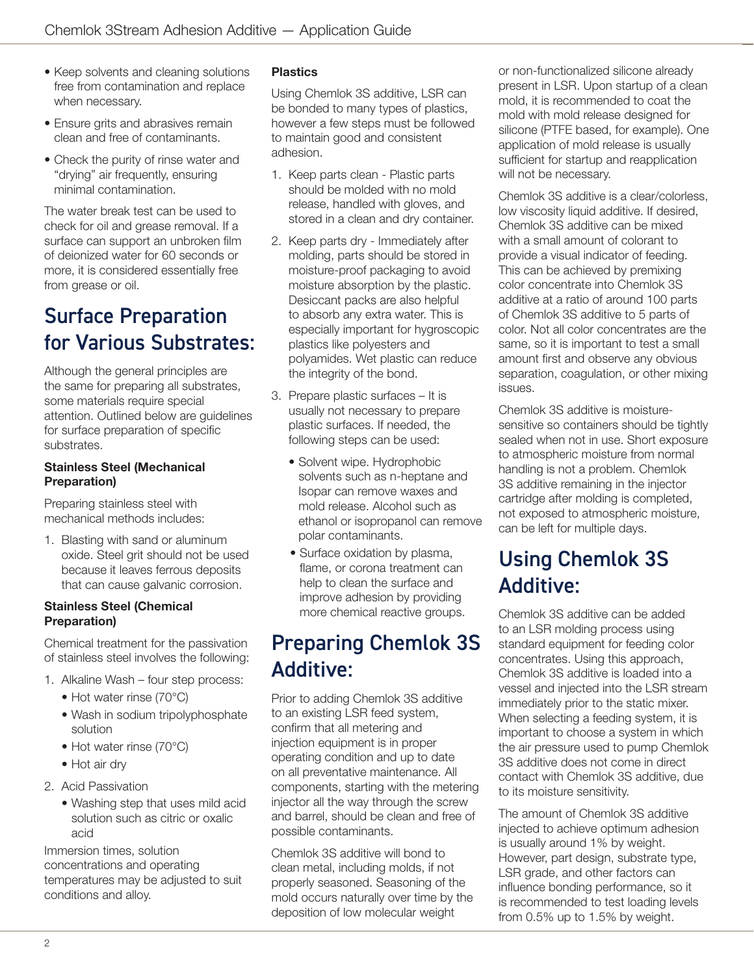- Keep solvents and cleaning solutions free from contamination and replace when necessary.
- Ensure grits and abrasives remain clean and free of contaminants.
- Check the purity of rinse water and "drying" air frequently, ensuring minimal contamination.

The water break test can be used to check for oil and grease removal. If a surface can support an unbroken film of deionized water for 60 seconds or more, it is considered essentially free from grease or oil.

### Surface Preparation for Various Substrates:

Although the general principles are the same for preparing all substrates, some materials require special attention. Outlined below are guidelines for surface preparation of specific substrates.

#### Stainless Steel (Mechanical Preparation)

Preparing stainless steel with mechanical methods includes:

1. Blasting with sand or aluminum oxide. Steel grit should not be used because it leaves ferrous deposits that can cause galvanic corrosion.

#### Stainless Steel (Chemical Preparation)

Chemical treatment for the passivation of stainless steel involves the following:

- 1. Alkaline Wash four step process:
	- Hot water rinse (70°C)
	- Wash in sodium tripolyphosphate solution
	- Hot water rinse (70°C)
	- Hot air dry
- 2. Acid Passivation
	- Washing step that uses mild acid solution such as citric or oxalic acid

Immersion times, solution concentrations and operating temperatures may be adjusted to suit conditions and alloy.

#### **Plastics**

Using Chemlok 3S additive, LSR can be bonded to many types of plastics, however a few steps must be followed to maintain good and consistent adhesion.

- 1. Keep parts clean Plastic parts should be molded with no mold release, handled with gloves, and stored in a clean and dry container.
- 2. Keep parts dry Immediately after molding, parts should be stored in moisture-proof packaging to avoid moisture absorption by the plastic. Desiccant packs are also helpful to absorb any extra water. This is especially important for hygroscopic plastics like polyesters and polyamides. Wet plastic can reduce the integrity of the bond.
- 3. Prepare plastic surfaces It is usually not necessary to prepare plastic surfaces. If needed, the following steps can be used:
	- Solvent wipe. Hydrophobic solvents such as n-heptane and Isopar can remove waxes and mold release. Alcohol such as ethanol or isopropanol can remove polar contaminants.
	- Surface oxidation by plasma, flame, or corona treatment can help to clean the surface and improve adhesion by providing more chemical reactive groups.

### Preparing Chemlok 3S Additive:

Prior to adding Chemlok 3S additive to an existing LSR feed system, confirm that all metering and injection equipment is in proper operating condition and up to date on all preventative maintenance. All components, starting with the metering injector all the way through the screw and barrel, should be clean and free of possible contaminants.

Chemlok 3S additive will bond to clean metal, including molds, if not properly seasoned. Seasoning of the mold occurs naturally over time by the deposition of low molecular weight

or non-functionalized silicone already present in LSR. Upon startup of a clean mold, it is recommended to coat the mold with mold release designed for silicone (PTFE based, for example). One application of mold release is usually sufficient for startup and reapplication will not be necessary.

Chemlok 3S additive is a clear/colorless, low viscosity liquid additive. If desired, Chemlok 3S additive can be mixed with a small amount of colorant to provide a visual indicator of feeding. This can be achieved by premixing color concentrate into Chemlok 3S additive at a ratio of around 100 parts of Chemlok 3S additive to 5 parts of color. Not all color concentrates are the same, so it is important to test a small amount first and observe any obvious separation, coagulation, or other mixing issues.

Chemlok 3S additive is moisturesensitive so containers should be tightly sealed when not in use. Short exposure to atmospheric moisture from normal handling is not a problem. Chemlok 3S additive remaining in the injector cartridge after molding is completed, not exposed to atmospheric moisture, can be left for multiple days.

## Using Chemlok 3S Additive:

Chemlok 3S additive can be added to an LSR molding process using standard equipment for feeding color concentrates. Using this approach, Chemlok 3S additive is loaded into a vessel and injected into the LSR stream immediately prior to the static mixer. When selecting a feeding system, it is important to choose a system in which the air pressure used to pump Chemlok 3S additive does not come in direct contact with Chemlok 3S additive, due to its moisture sensitivity.

The amount of Chemlok 3S additive injected to achieve optimum adhesion is usually around 1% by weight. However, part design, substrate type, LSR grade, and other factors can influence bonding performance, so it is recommended to test loading levels from 0.5% up to 1.5% by weight.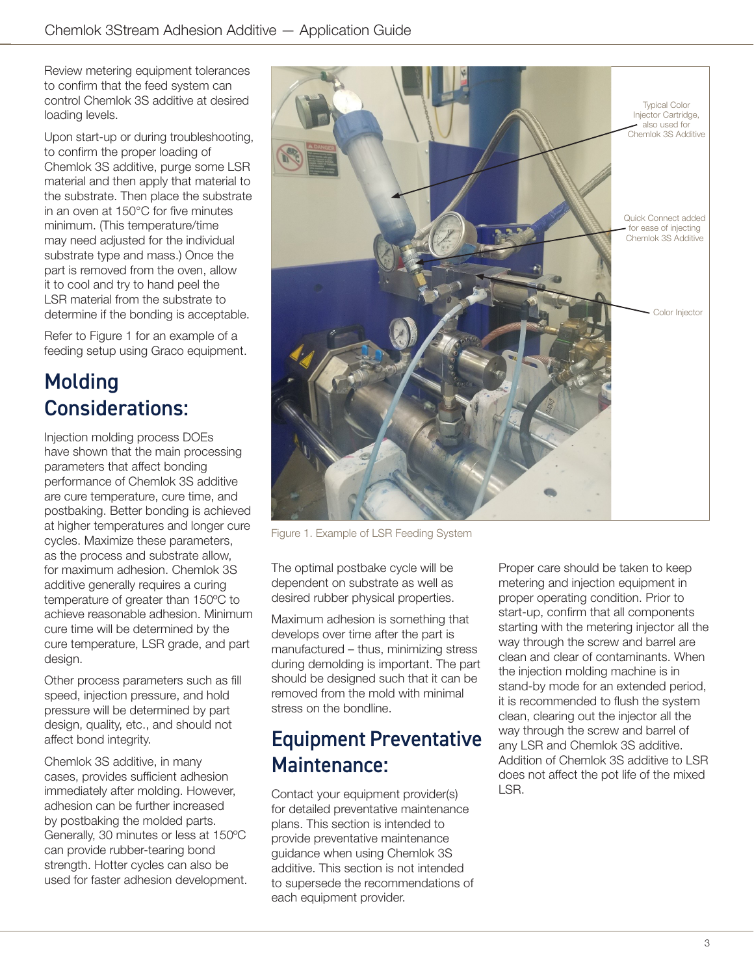Review metering equipment tolerances to confirm that the feed system can control Chemlok 3S additive at desired loading levels.

Upon start-up or during troubleshooting, to confirm the proper loading of Chemlok 3S additive, purge some LSR material and then apply that material to the substrate. Then place the substrate in an oven at 150°C for five minutes minimum. (This temperature/time may need adjusted for the individual substrate type and mass.) Once the part is removed from the oven, allow it to cool and try to hand peel the LSR material from the substrate to determine if the bonding is acceptable.

Refer to Figure 1 for an example of a feeding setup using Graco equipment.

### Molding Considerations:

Injection molding process DOEs have shown that the main processing parameters that affect bonding performance of Chemlok 3S additive are cure temperature, cure time, and postbaking. Better bonding is achieved at higher temperatures and longer cure cycles. Maximize these parameters, as the process and substrate allow, for maximum adhesion. Chemlok 3S additive generally requires a curing temperature of greater than 150ºC to achieve reasonable adhesion. Minimum cure time will be determined by the cure temperature, LSR grade, and part desian.

Other process parameters such as fill speed, injection pressure, and hold pressure will be determined by part design, quality, etc., and should not affect bond integrity.

Chemlok 3S additive, in many cases, provides sufficient adhesion immediately after molding. However, adhesion can be further increased by postbaking the molded parts. Generally, 30 minutes or less at 150ºC can provide rubber-tearing bond strength. Hotter cycles can also be used for faster adhesion development.



Figure 1. Example of LSR Feeding System

The optimal postbake cycle will be dependent on substrate as well as desired rubber physical properties.

Maximum adhesion is something that develops over time after the part is manufactured – thus, minimizing stress during demolding is important. The part should be designed such that it can be removed from the mold with minimal stress on the bondline.

### Equipment Preventative Maintenance:

Contact your equipment provider(s) for detailed preventative maintenance plans. This section is intended to provide preventative maintenance guidance when using Chemlok 3S additive. This section is not intended to supersede the recommendations of each equipment provider.

Proper care should be taken to keep metering and injection equipment in proper operating condition. Prior to start-up, confirm that all components starting with the metering injector all the way through the screw and barrel are clean and clear of contaminants. When the injection molding machine is in stand-by mode for an extended period, it is recommended to flush the system clean, clearing out the injector all the way through the screw and barrel of any LSR and Chemlok 3S additive. Addition of Chemlok 3S additive to LSR does not affect the pot life of the mixed LSR.